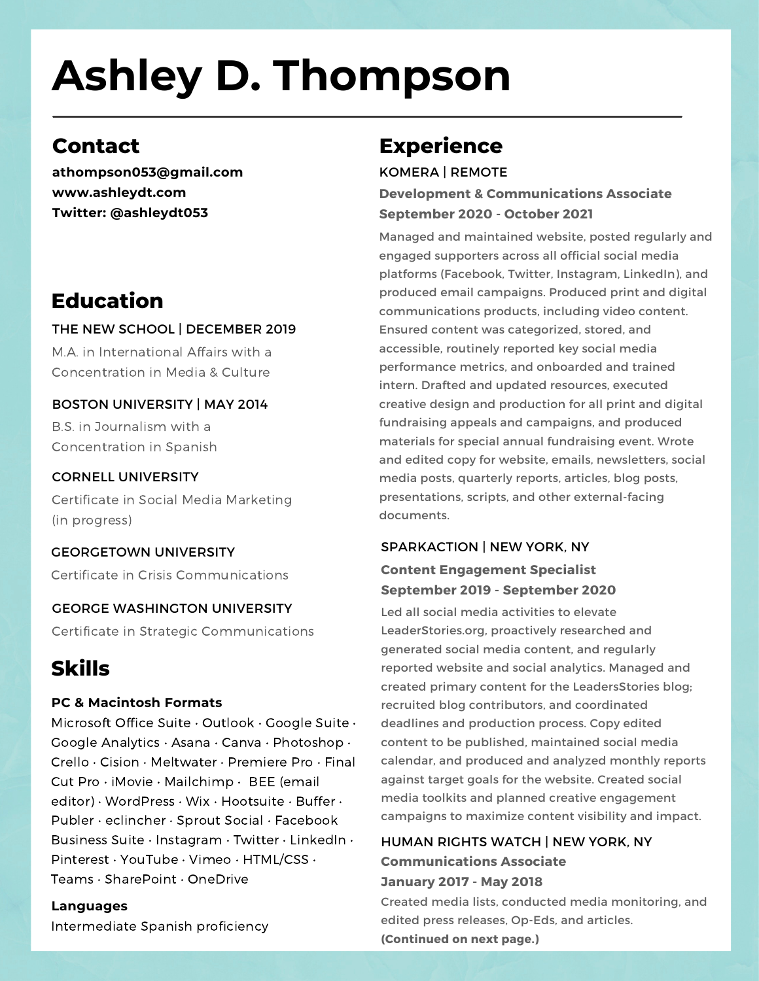# **Ashley D. Thompson**

# **Contact**

**athompson053@gmail.com www.ashleydt.com Twitter: @ashleydt053**

# **Education**

## THE NEW SCHOOL | DECEMBER 2019

M.A. in International Affairs with a Concentration in Media & Culture

# BOSTON UNIVERSITY | MAY 2014

B.S. in Journalism with a Concentration in Spanish

## CORNELL UNIVERSITY

Certificate in Social Media Marketing (in progress)

#### GEORGETOWN UNIVERSITY Certificate in Crisis Communications

#### GEORGE WASHINGTON UNIVERSITY

Certificate in Strategic Communications

# **Skills**

### **PC & Macintosh Formats**

Microsoft Office Suite · Outlook · Google Suite · Google Analytics • Asana • Canva • Photoshop • Crello • Cision • Meltwater • Premiere Pro • Final Cut Pro • iMovie • Mailchimp • BEE (email editor) • WordPress • Wix • Hootsuite • Buffer • Publer • eclincher • Sprout Social • Facebook Business Suite • Instagram • Twitter • LinkedIn • Pinterest • YouTube • Vimeo • HTML/CSS • Teams • SharePoint • OneDrive

## **Languages**

Intermediate Spanish proficiency

# **Experience**

KOMERA | REMOTE

### **Development & Communications Associate September 2020 - October 2021**

Managed and maintained website, posted regularly and engaged supporters across all official social media platforms (Facebook, Twitter, Instagram, LinkedIn), and produced email campaigns. Produced print and digital communications products, including video content. Ensured content was categorized, stored, and accessible, routinely reported key social media performance metrics, and onboarded and trained intern. Drafted and updated resources, executed creative design and production for all print and digital fundraising appeals and campaigns, and produced materials for special annual fundraising event. Wrote and edited copy for website, emails, newsletters, social media posts, quarterly reports, articles, blog posts, presentations, scripts, and other external-facing documents.

## SPARKACTION | NEW YORK, NY

## **Content Engagement Specialist September 2019 - September 2020**

Led all social media activities to elevate [LeaderStories.org](http://leaderstories.org/), proactively researched and generated social media content, and regularly reported website and social analytics. Managed and created primary content for the LeadersStories blog; recruited blog contributors, and coordinated deadlines and production process. Copy edited content to be published, maintained social media calendar, and produced and analyzed monthly reports against target goals for the website. Created social media toolkits and planned creative engagement campaigns to maximize content visibility and impact.

## HUMAN RIGHTS WATCH | NEW YORK, NY **Communications Associate January 2017 - May 2018**

Created media lists, conducted media monitoring, and edited press releases, Op-Eds, and articles. **(Continued on next page.)**